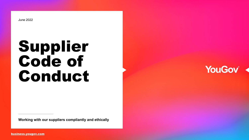June 2022

# Supplier Code of Conduct

**Working with our suppliers compliantly and ethically**



[business.yougov.com](https://business.yougov.com/)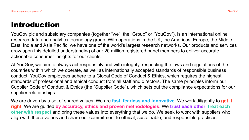### Introduction

YouGov plc and subsidiary companies (together "we", the "Group" or "YouGov"), is an international online research data and analytics technology group. With operations in the UK, the Americas, Europe, the Middle East, India and Asia Pacific, we have one of the world's largest research networks. Our products and services draw upon this detailed understanding of our 20 million registered panel members to deliver accurate, actionable consumer insights for our clients.

At YouGov, we aim to always act responsibly and with integrity, respecting the laws and regulations of the countries within which we operate, as well as internationally accepted standards of responsible business conduct. YouGov employees adhere to a Global Code of Conduct & Ethics, which requires the highest standards of professional and ethical conduct from all staff and directors. The same principles inform our Supplier Code of Conduct & Ethics (the "Supplier Code"), which sets out the compliance expectations for our supplier relationships.

We are driven by a set of shared values. We are **fast, fearless and innovative**. We work diligently to **get it right.** We are guided **by accuracy, ethics and proven methodologies**. We **trust each other**, **treat each other with respect** and bring these values into everything that we do. We seek to work with suppliers who align with these values and share our commitment to ethical, sustainable, and responsible practices.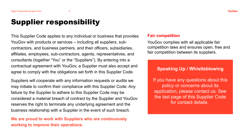## Supplier responsibility

This Supplier Code applies to any individual or business that provides YouGov with products or services – including all suppliers, subcontractors, and business partners, and their officers, subsidiaries, affiliates, employees, sub-contractors, agents, representatives, and consultants (together "You" or the "Suppliers"). By entering into a contractual agreement with YouGov, a Supplier must also accept and agree to comply with the obligations set forth in this Supplier Code.

Suppliers will cooperate with any information requests or audits we may initiate to confirm their compliance with this Supplier Code. Any failure by the Supplier to adhere to this Supplier Code may be considered a material breach of contract by the Supplier and YouGov reserves the right to terminate any underlying agreement and the business relationship with a Supplier in the event of such breach.

**We are proud to work with Suppliers who are continuously working to improve their operations.**

#### **Fair competition**

YouGov complies with all applicable fair competition laws and ensures open, free and fair competition between its suppliers.

#### **Speaking Up / Whistleblowing**

If you have any questions about this policy or concerns about its application, please contact us. See the last page of this Supplier Code for contact details.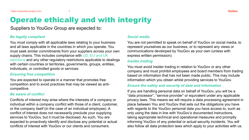# Operate ethically and with integrity

Suppliers to YouGov Group are expected to:

#### *Be legally compliant*

You must comply with all applicable laws relating to your business and all laws applicable in the countries in which you operate. You must seek similar commitments from your suppliers across your own supply chains. This includes compliance with US, EU and UK sanctions and any other regulatory restrictions applicable to dealings with certain countries or territories, governments, groups, entities, individuals, or controlled goods or services.

#### *Ensuring free competition*

You are expected to operate in a manner that promotes free competition and to avoid practices that may be viewed as anticompetitive.

#### *Be aware of conflict*

Conflicts of interest may arise where the interests of a company or individual within a company conflict with those of a client, customer, or the company itself (in the case of an individual employee). A conflict of interest does not necessarily preclude your supplying services to YouGov, but it must be disclosed. As such, You are expected to proactively identify and disclose any potential or actual conflicts of interest with YouGov or our clients and consumers.

#### *Social media*

You are not permitted to speak on behalf of YouGov on social media, to represent yourselves as our business, or to represent any views or communications developed by YouGov as your own (unless with express written permission).

#### *Insider trading*

You must avoid insider trading in relation to YouGov or any other company and must prohibit employees and board members from trading based on information that has not been made public. This may include information which you obtain whilst providing services to YouGov.

#### *Ensure the safety and security of data and information*

If you are handling personal data on behalf of YouGov, you will be a "data processor", "service provider" or equivalent under any applicable privacy laws. This means we will require a data processing agreement in place between You and YouGov that sets out the obligations you have with regards to the YouGov personal data you have access to, such as only using the data in line with YouGov's documented instructions, taking appropriate technical and operational measures and promptly informing YouGov of any potential or actual security incidents. You will also follow all data protection laws which apply to your activities with us.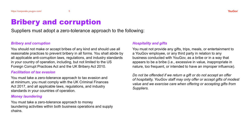## Bribery and corruption

Suppliers must adopt a zero-tolerance approach to the following:

#### *Bribery and corruption*

You should not make or accept bribes of any kind and should use all reasonable practices to prevent bribery in all forms. You shall abide by all applicable anti-corruption laws, regulations, and industry standards in your country of operation, including, but not limited to the US Foreign Corrupt Practices Act and the UK Bribery Act 2010.

#### *Facilitation of tax evasion*

You must take a zero-tolerance approach to tax evasion and at minimum, you must comply with the UK Criminal Finances Act 2017, and all applicable laws, regulations, and industry standards in your countries of operation.

#### *Money laundering*

You must take a zero-tolerance approach to money laundering activities within both business operations and supply chains.

#### *Hospitality and gifts*

You must not provide any gifts, trips, meals, or entertainment to a YouGov employee, or any third party in relation to any business conducted with YouGov, as a bribe or in a way that appears to be a bribe (i.e., excessive in value, inappropriate in nature, too frequent, or intended to have an improper influence).

*Do not be offended if we return a gift or do not accept an offer of hospitality, YouGov staff may only offer or accept gifts of modest value and we exercise care when offering or accepting gifts from Suppliers.*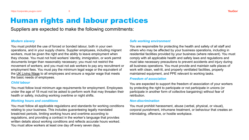### Human rights and labour practices

Suppliers are expected to make the following commitments:

#### *Modern slavery*

You must prohibit the use of forced or bonded labour, both in your own operations, and in your supply chains. Supplier employees, including migrant workers, must be given the right and the ability to leave employment when they choose. You must not hold workers' identity, immigration, or work permit documents longer than reasonably necessary; you must not restrict the movement of workers; and you must not ask workers to pay any recruitment or employment fees. You must pay the minimum legal wage or the equivalent of the [UK Living Wage](https://www.livingwage.org.uk/) to all employees and ensure a regular wage that meets the basic needs of employees.

#### *Child labour*

You must follow local minimum age requirements for employment. Employees under the age of 18 must not be asked to perform work that may threaten their health or safety, including working overtime or night shifts.

#### *Working hours and conditions*

You must follow all applicable regulations and standards for working conditions relating to your business. This includes guaranteeing legally mandated break/rest periods, limiting working hours and overtime according to regulations, and providing a contract in the worker's language that provides written details about working conditions and reflects accurate hours worked. You must allow workers at least one day off every seven days.

#### *Safe working environment*

You are responsible for protecting the health and safety of all staff and others who may be affected by your business operations, including in residential facilities provided by your business (where relevant). You must comply with all applicable health and safety laws and regulations and must take necessary precautions to prevent accidents and injury during all business operations. You must provide and maintain safe places of work with clean, well-lit, and properly ventilated facilities, properly maintained equipment, and PPE relevant to working tasks.

#### *Freedom of association*

You are expected to support the freedom of association of your workers by protecting the right to participate or not participate in unions (or participate in another form of collective bargaining) without fear of retribution.

#### *Non-discrimination*

You must prohibit harassment, abuse (verbal, physical, or visual), corporal punishment, inhumane treatment, or behaviour that creates an intimidating, offensive, or hostile workplace.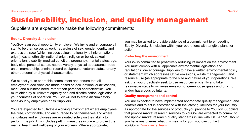### Sustainability, inclusion, and quality management

Suppliers are expected to make the following commitments:

#### **Equity, Diversity & Inclusion**

YouGov is an equal opportunity employer. We invite and encourage all staff to be themselves at work, regardless of sex, gender identity and expression, race (which includes colour, nationality, ethnic or national origin), caste, ethnicity, national origin, religion or belief, sexual orientation, disability, medical condition, pregnancy, marital status, age, body size, personal status, neurodiversity, physical appearance, trade union membership, criminal record background, veteran status, or any other personal or physical characteristics.

We expect you to share this commitment and ensure that all employment decisions are made based on occupational qualifications, merit, and business need, rather than personal characteristics. You must abide by all relevant equality and anti-discrimination legislation in your countries of operation. YouGov will not tolerate discriminatory behaviour by employees or its Suppliers.

You are expected to cultivate a working environment where employees feel free, comfortable, and encouraged to be themselves and where candidates and employees are evaluated solely on their ability to perform the job. This includes putting measures in place to protect the mental health and wellbeing of your workers. Where appropriate,

you may be asked to provide evidence of a commitment to embedding Equity, Diversity & Inclusion within your operations with tangible plans for action.

#### **Protecting the environment**

YouGov is committed to proactively reducing its impact on the environment. You must comply with all applicable environmental legislation and regulations. We encourage Suppliers to have a written environmental policy or statement which addresses CO2e emissions, waste management, and resource use (as appropriate to the size and nature of your operations).We ask that you proactively seek to use resources efficiently and take reasonable steps to minimise emission of greenhouse gases and of toxic and/or hazardous pollutants.

#### **Quality management and control**

You are expected to have implemented appropriate quality management and controls and to act in accordance with the latest guidelines for your industry, as appropriate for the services or products you provide to YouGov. Suppliers that provide market research services to YouGov are expected to commit to and uphold market research quality standards in line with ISO 20252. Should you have any queries what this means for you, you can contact YouGov's [Compliance Team.](mailto:compliance@yougov.com)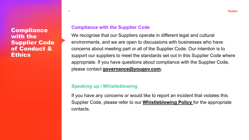**Compliance** with the Supplier Code of Conduct & **Ethics** 

8

### **Compliance with the Supplier Code**

We recognise that our Suppliers operate in different legal and cultural environments, and we are open to discussions with businesses who have concerns about meeting part or all of the Supplier Code. Our intention is to support our suppliers to meet the standards set out in this Supplier Code where appropriate. If you have questions about compliance with the Supplier Code, please contact **[governance@yougov.com.](mailto:governance@yougov.com)**

### **Speaking up / Whistleblowing**

If you have any concerns or would like to report an incident that violates this Supplier Code, please refer to our **[Whistleblowing Policy](https://corporate.yougov.com/compliance/privacy-security/compliance-faq/)** for the appropriate contacts.